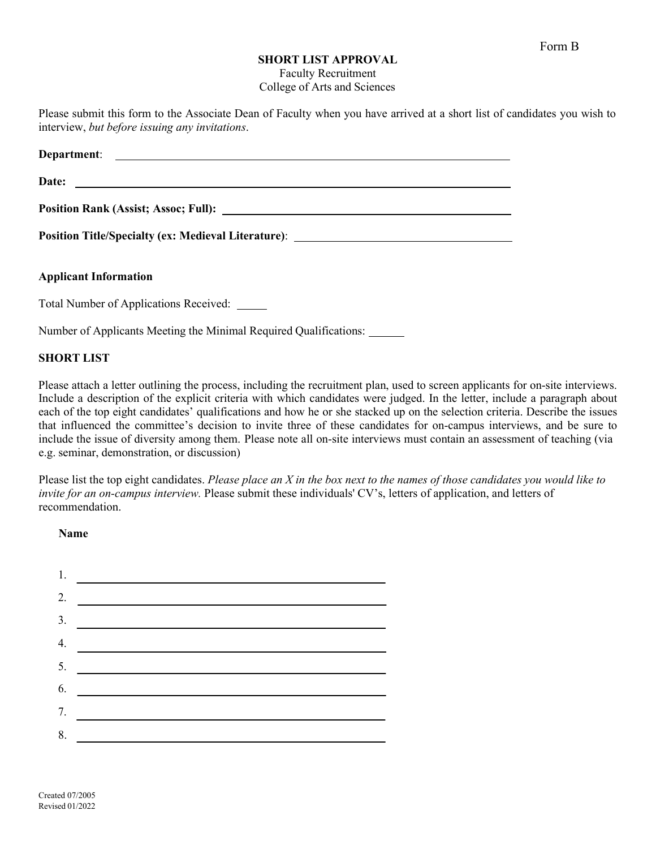## **SHORT LIST APPROVAL**

Faculty Recruitment College of Arts and Sciences

Please submit this form to the Associate Dean of Faculty when you have arrived at a short list of candidates you wish to interview, *but before issuing any invitations*.

| Date:                                                                            |
|----------------------------------------------------------------------------------|
|                                                                                  |
| Position Title/Specialty (ex: Medieval Literature): ____________________________ |
| <b>Applicant Information</b>                                                     |
| Total Number of Applications Received: _____                                     |
| Number of Applicants Meeting the Minimal Required Qualifications:                |

## **SHORT LIST**

Please attach a letter outlining the process, including the recruitment plan, used to screen applicants for on-site interviews. Include a description of the explicit criteria with which candidates were judged. In the letter, include a paragraph about each of the top eight candidates' qualifications and how he or she stacked up on the selection criteria. Describe the issues that influenced the committee's decision to invite three of these candidates for on-campus interviews, and be sure to include the issue of diversity among them. Please note all on-site interviews must contain an assessment of teaching (via e.g. seminar, demonstration, or discussion)

Please list the top eight candidates. *Please place an X in the box next to the names of those candidates you would like to invite for an on-campus interview.* Please submit these individuals' CV's, letters of application, and letters of recommendation.

**Name**